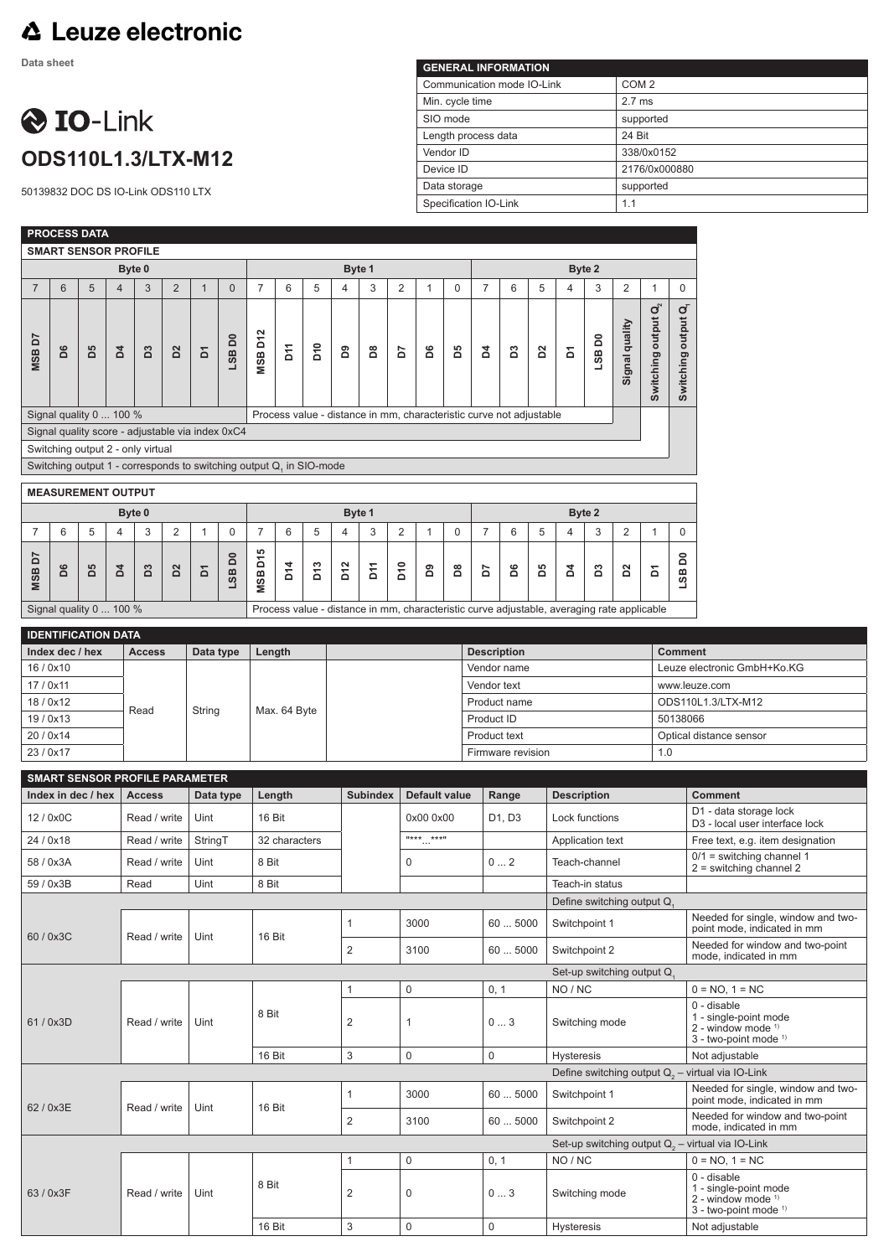## **△ Leuze electronic**

**Data sheet**

## **O** IO-Link **ODS110L1.3/LTX-M12**

50139832 DOC DS IO-Link ODS110 LTX

| <b>GENERAL INFORMATION</b> |                  |
|----------------------------|------------------|
| Communication mode IO-Link | COM <sub>2</sub> |
| Min. cycle time            | $2.7$ ms         |
| SIO mode                   | supported        |
| Length process data        | 24 Bit           |
| Vendor ID                  | 338/0x0152       |
| Device ID                  | 2176/0x000880    |
| Data storage               | supported        |
| Specification IO-Link      | 1.1              |

|                                           |    | PROCESS DATA       |                                   |                      |                |                                                                                                                         |              |                                                   |                  |                 |                                |                                                |                |              |                         |                                                                                            |                                         |    |                            |                 |                |                                      |                                  |                                                                                                                       |  |
|-------------------------------------------|----|--------------------|-----------------------------------|----------------------|----------------|-------------------------------------------------------------------------------------------------------------------------|--------------|---------------------------------------------------|------------------|-----------------|--------------------------------|------------------------------------------------|----------------|--------------|-------------------------|--------------------------------------------------------------------------------------------|-----------------------------------------|----|----------------------------|-----------------|----------------|--------------------------------------|----------------------------------|-----------------------------------------------------------------------------------------------------------------------|--|
|                                           |    |                    | <b>SMART SENSOR PROFILE</b>       |                      |                |                                                                                                                         |              |                                                   |                  |                 |                                |                                                |                |              |                         |                                                                                            |                                         |    |                            |                 |                |                                      |                                  |                                                                                                                       |  |
|                                           |    |                    |                                   | Byte 0               |                |                                                                                                                         |              |                                                   |                  |                 |                                | Byte 1                                         |                |              |                         |                                                                                            | Byte 2                                  |    |                            |                 |                |                                      |                                  |                                                                                                                       |  |
| $\overline{7}$                            | 6  | 5                  | $\overline{4}$                    | 3                    | $\overline{2}$ | $\mathbf{1}$                                                                                                            | $\mathbf{0}$ | $\overline{7}$                                    | 6                | 5               | $\overline{\mathbf{4}}$        | 3                                              | $\overline{c}$ | $\mathbf{1}$ | 0                       | $\overline{7}$                                                                             | 6                                       | 5  | 4                          | 3               | $\overline{2}$ | $\mathbf{1}$                         | $\mathbf 0$                      |                                                                                                                       |  |
| <b>MSBD7</b>                              | D6 | 50                 | $\overline{a}$                    | B3                   | $\overline{D}$ | Σ                                                                                                                       | LSBD0        | <b>MSB D12</b>                                    | $\tilde{\Sigma}$ | D <sub>10</sub> | å                              | õ.                                             | 5              | å            | 50                      | 2                                                                                          | ដ                                       | 2s | Σ                          | LSBD0           | Signal quality | $\mathbf{Q}_2^N$<br>Switching output | જં<br>Switching output           |                                                                                                                       |  |
|                                           |    |                    | Signal quality 0  100 %           |                      |                |                                                                                                                         |              |                                                   |                  |                 |                                |                                                |                |              |                         | Process value - distance in mm, characteristic curve not adjustable                        |                                         |    |                            |                 |                |                                      |                                  |                                                                                                                       |  |
|                                           |    |                    | Switching output 2 - only virtual |                      |                | Signal quality score - adjustable via index 0xC4<br>Switching output 1 - corresponds to switching output Q, in SIO-mode |              |                                                   |                  |                 |                                |                                                |                |              |                         |                                                                                            |                                         |    |                            |                 |                |                                      |                                  |                                                                                                                       |  |
|                                           |    |                    |                                   |                      |                |                                                                                                                         |              |                                                   |                  |                 |                                |                                                |                |              |                         |                                                                                            |                                         |    |                            |                 |                |                                      |                                  |                                                                                                                       |  |
|                                           |    |                    | <b>MEASUREMENT OUTPUT</b>         |                      |                |                                                                                                                         |              |                                                   |                  |                 |                                |                                                |                |              |                         |                                                                                            |                                         |    |                            |                 |                |                                      |                                  |                                                                                                                       |  |
| Byte 0<br>5<br>3<br>$\mathsf 0$<br>6<br>4 |    |                    |                                   |                      |                |                                                                                                                         |              | Byte 1                                            |                  |                 |                                |                                                |                |              |                         |                                                                                            |                                         |    | Byte 2                     |                 |                |                                      |                                  |                                                                                                                       |  |
| 7                                         |    |                    |                                   |                      | $\overline{2}$ | 1                                                                                                                       |              | $\overline{7}$                                    | 6                | 5               | 4                              | 3                                              | 2              | $\mathbf{1}$ | 0                       | $\overline{7}$                                                                             | 6                                       | 5  | 4                          | 3               | $\overline{2}$ | $\mathbf{1}$                         | $\mathbf 0$                      |                                                                                                                       |  |
| ć<br><b>MSB</b>                           | D6 | 50                 | $\overline{a}$                    | B3                   | $\overline{D}$ | Σ                                                                                                                       | å<br>LSB     | 5<br>δ<br><b>MSB</b>                              | D14              | D13             | D12                            | <b>Pfd</b>                                     | D10            | <u>ក</u>     | $\overline{\mathsf{d}}$ | 5                                                                                          | D6                                      | PS | 2                          | $\mathbf{S}$    | <sub>2</sub>   | Σ                                    | 8<br>LSB                         |                                                                                                                       |  |
|                                           |    |                    | Signal quality 0  100 %           |                      |                |                                                                                                                         |              |                                                   |                  |                 |                                |                                                |                |              |                         | Process value - distance in mm, characteristic curve adjustable, averaging rate applicable |                                         |    |                            |                 |                |                                      |                                  |                                                                                                                       |  |
|                                           |    |                    | <b>IDENTIFICATION DATA</b>        |                      |                |                                                                                                                         |              |                                                   |                  |                 |                                |                                                |                |              |                         |                                                                                            |                                         |    |                            |                 |                |                                      |                                  |                                                                                                                       |  |
|                                           |    | Index dec / hex    |                                   | <b>Access</b>        |                | Data type                                                                                                               |              | Length                                            |                  |                 |                                |                                                |                |              |                         | <b>Description</b>                                                                         |                                         |    |                            |                 |                |                                      | <b>Comment</b>                   |                                                                                                                       |  |
| 16/0x10                                   |    |                    |                                   |                      |                |                                                                                                                         |              |                                                   |                  |                 |                                |                                                |                |              |                         |                                                                                            | Vendor name                             |    |                            |                 |                |                                      |                                  | Leuze electronic GmbH+Ko.KG                                                                                           |  |
| 17 / 0x11                                 |    |                    |                                   |                      |                |                                                                                                                         |              |                                                   |                  |                 |                                |                                                |                |              |                         | Vendor text                                                                                |                                         |    |                            |                 |                |                                      | www.leuze.com                    |                                                                                                                       |  |
| 18/0x12<br>19/0x13                        |    |                    |                                   | Read                 |                | String                                                                                                                  |              |                                                   | Max. 64 Byte     |                 |                                |                                                |                |              |                         |                                                                                            | Product name<br>Product ID              |    |                            |                 |                |                                      | ODS110L1.3/LTX-M12<br>50138066   |                                                                                                                       |  |
| 20 / 0x14                                 |    |                    |                                   |                      |                |                                                                                                                         |              |                                                   |                  |                 |                                |                                                |                |              |                         |                                                                                            | Product text                            |    |                            |                 |                |                                      | Optical distance sensor          |                                                                                                                       |  |
| 23/0x17                                   |    |                    |                                   |                      |                |                                                                                                                         |              |                                                   |                  |                 |                                |                                                |                |              |                         | 1.0<br>Firmware revision                                                                   |                                         |    |                            |                 |                |                                      |                                  |                                                                                                                       |  |
|                                           |    |                    |                                   |                      |                | <b>SMART SENSOR PROFILE PARAMETER</b>                                                                                   |              |                                                   |                  |                 |                                |                                                |                |              |                         |                                                                                            |                                         |    |                            |                 |                |                                      |                                  |                                                                                                                       |  |
|                                           |    | Index in dec / hex |                                   | <b>Access</b>        |                |                                                                                                                         | Data type    | <b>Default value</b><br>Length<br><b>Subindex</b> |                  |                 |                                |                                                |                |              |                         | Range<br><b>Description</b>                                                                |                                         |    |                            |                 |                |                                      | <b>Comment</b>                   |                                                                                                                       |  |
| 12 / 0x0C                                 |    |                    |                                   | Read / write         |                | Uint                                                                                                                    |              |                                                   | 16 Bit           |                 |                                |                                                |                | 0x00 0x00    |                         |                                                                                            | D1, D3<br>Lock functions                |    |                            |                 |                |                                      |                                  | D1 - data storage lock<br>D3 - local user interface lock                                                              |  |
| 24 / 0x18                                 |    |                    |                                   | Read / write         |                | StringT                                                                                                                 |              |                                                   | 32 characters    |                 |                                | $\overset{\text{H} \star \star \star}{\cdots}$ |                |              |                         | Application text                                                                           |                                         |    |                            |                 |                |                                      | Free text, e.g. item designation |                                                                                                                       |  |
| 58 / 0x3A                                 |    |                    |                                   | Read / write         |                | Uint                                                                                                                    |              |                                                   | 8 Bit            |                 |                                |                                                |                | 0            |                         |                                                                                            | 02<br>Teach-channel                     |    |                            |                 |                |                                      |                                  | $0/1$ = switching channel 1<br>$2 =$ switching channel 2                                                              |  |
| 59 / 0x3B                                 |    |                    |                                   | Read                 |                | Uint                                                                                                                    |              |                                                   | 8 Bit            |                 |                                |                                                |                |              |                         |                                                                                            |                                         |    |                            | Teach-in status |                |                                      |                                  |                                                                                                                       |  |
|                                           |    |                    |                                   |                      |                |                                                                                                                         |              |                                                   |                  |                 |                                |                                                |                |              |                         |                                                                                            |                                         |    | Define switching output Q, |                 |                |                                      |                                  |                                                                                                                       |  |
| 60/0x3C                                   |    |                    |                                   | Read / write         |                | Uint                                                                                                                    |              | 16 Bit                                            |                  |                 | $\mathbf{1}$                   |                                                |                | 3000         |                         |                                                                                            | 605000                                  |    | Switchpoint 1              |                 |                |                                      |                                  | Needed for single, window and two-<br>point mode, indicated in mm<br>Needed for window and two-point                  |  |
|                                           |    |                    |                                   |                      |                |                                                                                                                         |              |                                                   |                  |                 |                                | $\overline{2}$<br>3100                         |                |              |                         |                                                                                            | 60  5000<br>Switchpoint 2               |    |                            |                 |                |                                      | mode, indicated in mm            |                                                                                                                       |  |
|                                           |    |                    |                                   |                      |                |                                                                                                                         |              |                                                   |                  |                 |                                |                                                |                |              |                         |                                                                                            |                                         |    | Set-up switching output Q  |                 |                |                                      |                                  |                                                                                                                       |  |
| 61/0x3D                                   |    |                    |                                   | Read / write<br>Uint |                |                                                                                                                         |              | 8 Bit                                             |                  |                 | $\mathbf{1}$<br>$\overline{c}$ |                                                | 1              | $\mathbf 0$  |                         |                                                                                            | 0, 1<br>NO / NC<br>03<br>Switching mode |    |                            |                 |                |                                      |                                  | $0 = NO, 1 = NC$<br>0 - disable<br>1 - single-point mode<br>$2$ - window mode $1$<br>3 - two-point mode <sup>1)</sup> |  |
|                                           |    |                    |                                   |                      |                |                                                                                                                         |              | 16 Bit                                            |                  |                 | $\ensuremath{\mathsf{3}}$      | $\mathsf 0$                                    |                |              |                         |                                                                                            | 0<br><b>Hysteresis</b>                  |    |                            |                 |                |                                      |                                  | Not adjustable                                                                                                        |  |
|                                           |    |                    |                                   |                      |                |                                                                                                                         |              |                                                   |                  |                 |                                |                                                |                |              |                         |                                                                                            |                                         |    |                            |                 |                |                                      |                                  | Define switching output $Q_0$ – virtual via IO-Link                                                                   |  |
| 62 / 0x3E                                 |    |                    |                                   | Read / write         |                | Uint                                                                                                                    |              | 16 Bit                                            |                  |                 | 1                              |                                                |                | 3000         |                         |                                                                                            | 605000                                  |    | Switchpoint 1              |                 |                |                                      |                                  | Needed for single, window and two-<br>point mode, indicated in mm                                                     |  |
|                                           |    |                    |                                   |                      |                |                                                                                                                         |              |                                                   |                  |                 | $\overline{2}$                 |                                                |                | 3100         |                         |                                                                                            | 605000                                  |    | Switchpoint 2              |                 |                |                                      |                                  | Needed for window and two-point<br>mode, indicated in mm                                                              |  |
|                                           |    |                    |                                   |                      |                |                                                                                                                         |              |                                                   |                  |                 |                                |                                                |                |              |                         |                                                                                            |                                         |    |                            |                 |                |                                      |                                  | Set-up switching output $Q_2$ – virtual via IO-Link                                                                   |  |
| 63 / 0x3F                                 |    |                    |                                   | Read / write         |                | Uint                                                                                                                    |              | 8 Bit                                             |                  |                 | $\mathbf{1}$<br>$\overline{c}$ |                                                | 0<br>0         |              |                         | 0, 1                                                                                       | 03                                      |    | NO / NC<br>Switching mode  |                 |                |                                      |                                  | $0 = NO, 1 = NC$<br>0 - disable<br>1 - single-point mode<br>$2$ - window mode $1$<br>3 - two-point mode <sup>1)</sup> |  |
|                                           |    |                    |                                   |                      |                |                                                                                                                         |              | 16 Bit                                            |                  |                 | $\ensuremath{\mathsf{3}}$      |                                                | 0              |              |                         | 0                                                                                          |                                         |    | Hysteresis                 |                 |                |                                      |                                  | Not adjustable                                                                                                        |  |